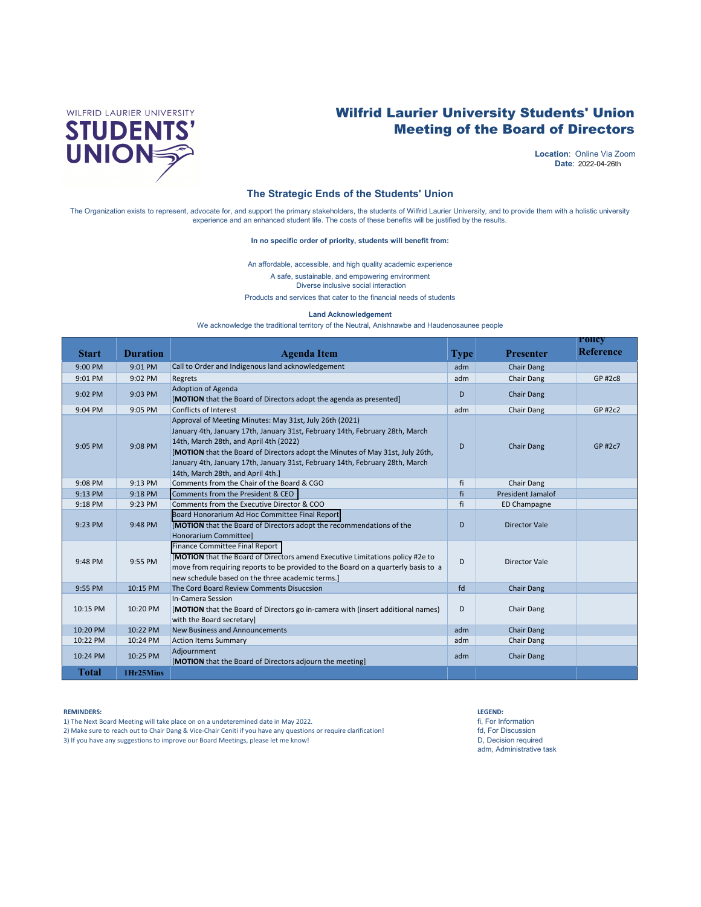

# Wilfrid Laurier University Students' Union Meeting of the Board of Directors

2022-04-26th **Date**: **Location**: Online Via Zoom

#### **The Strategic Ends of the Students' Union**

The Organization exists to represent, advocate for, and support the primary stakeholders, the students of Wilfrid Laurier University, and to provide them with a holistic university experience and an enhanced student life. The costs of these benefits will be justified by the results.

#### **In no specific order of priority, students will benefit from:**

An affordable, accessible, and high quality academic experience

A safe, sustainable, and empowering environment

Diverse inclusive social interaction

Products and services that cater to the financial needs of students

#### **Land Acknowledgement**

We acknowledge the traditional territory of the Neutral, Anishnawbe and Haudenosaunee people

|              |                 |                                                                                                                                                                                                                                                                                                                                                                                         |             |                          | <b>POlicy</b>    |
|--------------|-----------------|-----------------------------------------------------------------------------------------------------------------------------------------------------------------------------------------------------------------------------------------------------------------------------------------------------------------------------------------------------------------------------------------|-------------|--------------------------|------------------|
| <b>Start</b> | <b>Duration</b> | <b>Agenda</b> Item                                                                                                                                                                                                                                                                                                                                                                      | <b>Type</b> | <b>Presenter</b>         | <b>Reference</b> |
| 9:00 PM      | 9:01 PM         | Call to Order and Indigenous land acknowledgement                                                                                                                                                                                                                                                                                                                                       | adm         | <b>Chair Dang</b>        |                  |
| 9:01 PM      | 9:02 PM         | Regrets                                                                                                                                                                                                                                                                                                                                                                                 | adm         | Chair Dang               | GP #2c8          |
| 9:02 PM      | 9:03 PM         | Adoption of Agenda<br>[MOTION that the Board of Directors adopt the agenda as presented]                                                                                                                                                                                                                                                                                                | D           | Chair Dang               |                  |
| 9:04 PM      | 9:05 PM         | <b>Conflicts of Interest</b>                                                                                                                                                                                                                                                                                                                                                            | adm         | Chair Dang               | GP #2c2          |
| 9:05 PM      | 9:08 PM         | Approval of Meeting Minutes: May 31st, July 26th (2021)<br>January 4th, January 17th, January 31st, February 14th, February 28th, March<br>14th, March 28th, and April 4th (2022)<br>[MOTION that the Board of Directors adopt the Minutes of May 31st, July 26th,<br>January 4th, January 17th, January 31st, February 14th, February 28th, March<br>14th, March 28th, and April 4th.] | D           | <b>Chair Dang</b>        | GP #2c7          |
| 9:08 PM      | 9:13 PM         | Comments from the Chair of the Board & CGO                                                                                                                                                                                                                                                                                                                                              | fi          | Chair Dang               |                  |
| 9:13 PM      | 9:18 PM         | Comments from the President & CEO                                                                                                                                                                                                                                                                                                                                                       | fi          | <b>President Jamalof</b> |                  |
| 9:18 PM      | 9:23 PM         | Comments from the Executive Director & COO                                                                                                                                                                                                                                                                                                                                              | fi          | ED Champagne             |                  |
| 9:23 PM      | 9:48 PM         | Board Honorarium Ad Hoc Committee Final Report<br>[MOTION that the Board of Directors adopt the recommendations of the<br><b>Honorarium Committee]</b>                                                                                                                                                                                                                                  | D           | <b>Director Vale</b>     |                  |
| 9:48 PM      | 9:55 PM         | <b>Finance Committee Final Report</b><br>[MOTION that the Board of Directors amend Executive Limitations policy #2e to<br>move from requiring reports to be provided to the Board on a quarterly basis to a<br>new schedule based on the three academic terms.]                                                                                                                         | D           | <b>Director Vale</b>     |                  |
| 9:55 PM      | 10:15 PM        | The Cord Board Review Comments Disuccsion                                                                                                                                                                                                                                                                                                                                               | fd          | <b>Chair Dang</b>        |                  |
| 10:15 PM     | 10:20 PM        | In-Camera Session<br>[MOTION that the Board of Directors go in-camera with (insert additional names)<br>with the Board secretary]                                                                                                                                                                                                                                                       | D           | Chair Dang               |                  |
| 10:20 PM     | 10:22 PM        | <b>New Business and Announcements</b>                                                                                                                                                                                                                                                                                                                                                   | adm         | <b>Chair Dang</b>        |                  |
| 10:22 PM     | 10:24 PM        | <b>Action Items Summary</b>                                                                                                                                                                                                                                                                                                                                                             | adm         | Chair Dang               |                  |
| 10:24 PM     | 10:25 PM        | Adjournment<br>[MOTION that the Board of Directors adjourn the meeting]                                                                                                                                                                                                                                                                                                                 | adm         | <b>Chair Dang</b>        |                  |
| <b>Total</b> | 1Hr25Mins       |                                                                                                                                                                                                                                                                                                                                                                                         |             |                          |                  |

#### **REMINDERS: LEGEND:**

1) The Next Board Meeting will take place on on a undeteremined date in May 2022. fi, For Information

2) Make sure to reach out to Chair Dang & Vice-Chair Ceniti if you have any questions or require clarification! fd, For Discussion

3) If you have any suggestions to improve our Board Meetings, please let me know! D and the control of the control of the control of the control of the control of the control of the control of the control of the control of

adm, Administrative task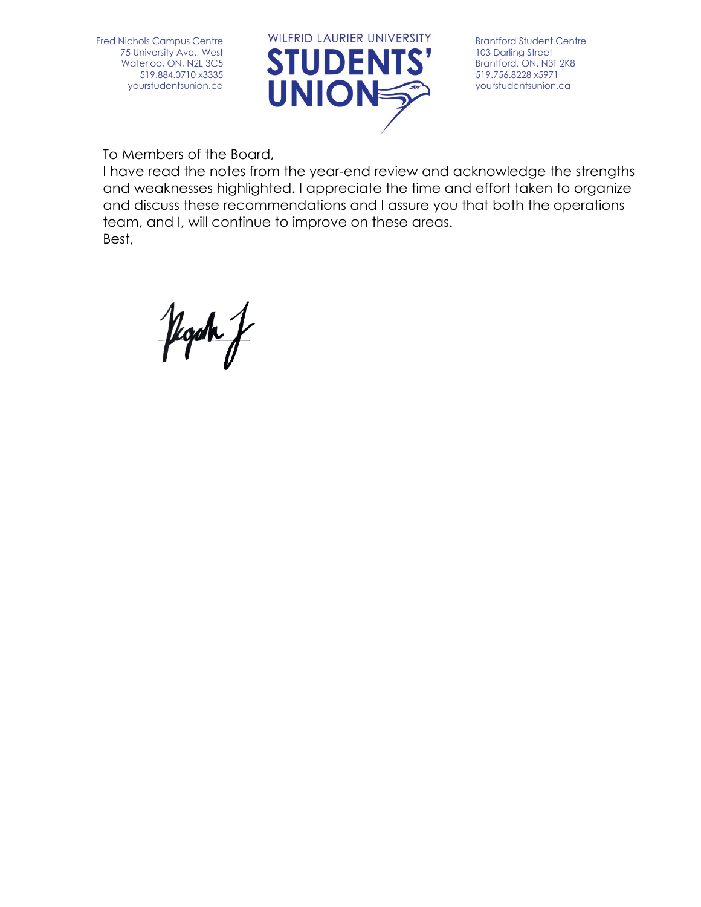<span id="page-1-0"></span>Fred Nichols Campus Centre 75 University Ave., West Waterloo, ON, N2L 3C5 519.884.0710 x3335 yourstudentsunion.ca



Brantford Student Centre 103 Darling Street Brantford, ON, N3T 2K8 519.756.8228 x5971 yourstudentsunion.ca

To Members of the Board,

I have read the notes from the year-end review and acknowledge the strengths and weaknesses highlighted. I appreciate the time and effort taken to organize and discuss these recommendations and I assure you that both the operations team, and I, will continue to improve on these areas. Best,

floch f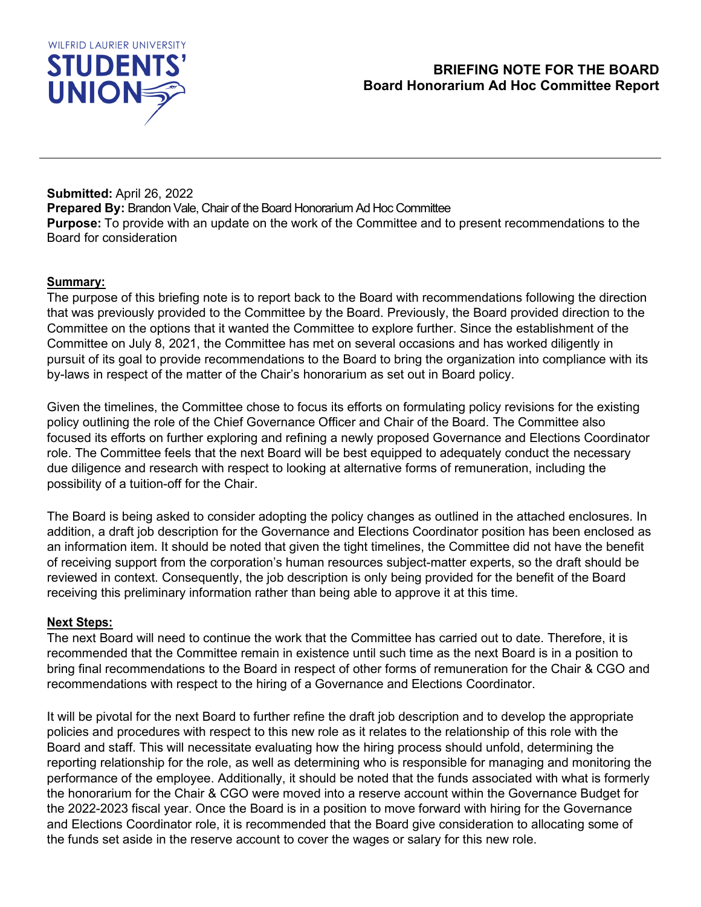<span id="page-2-0"></span>

 **Submitted:** April 26, 2022 **Prepared By:** Brandon Vale, Chair of the Board Honorarium Ad Hoc Committee **Purpose:** To provide with an update on the work of the Committee and to present recommendations to the Board for consideration

### **Summary:**

The purpose of this briefing note is to report back to the Board with recommendations following the direction that was previously provided to the Committee by the Board. Previously, the Board provided direction to the Committee on the options that it wanted the Committee to explore further. Since the establishment of the Committee on July 8, 2021, the Committee has met on several occasions and has worked diligently in pursuit of its goal to provide recommendations to the Board to bring the organization into compliance with its by-laws in respect of the matter of the Chair's honorarium as set out in Board policy.

Given the timelines, the Committee chose to focus its efforts on formulating policy revisions for the existing policy outlining the role of the Chief Governance Officer and Chair of the Board. The Committee also focused its efforts on further exploring and refining a newly proposed Governance and Elections Coordinator role. The Committee feels that the next Board will be best equipped to adequately conduct the necessary due diligence and research with respect to looking at alternative forms of remuneration, including the possibility of a tuition-off for the Chair.

The Board is being asked to consider adopting the policy changes as outlined in the attached enclosures. In addition, a draft job description for the Governance and Elections Coordinator position has been enclosed as an information item. It should be noted that given the tight timelines, the Committee did not have the benefit of receiving support from the corporation's human resources subject-matter experts, so the draft should be reviewed in context. Consequently, the job description is only being provided for the benefit of the Board receiving this preliminary information rather than being able to approve it at this time.

#### **Next Steps:**

The next Board will need to continue the work that the Committee has carried out to date. Therefore, it is recommended that the Committee remain in existence until such time as the next Board is in a position to bring final recommendations to the Board in respect of other forms of remuneration for the Chair & CGO and recommendations with respect to the hiring of a Governance and Elections Coordinator.

It will be pivotal for the next Board to further refine the draft job description and to develop the appropriate policies and procedures with respect to this new role as it relates to the relationship of this role with the Board and staff. This will necessitate evaluating how the hiring process should unfold, determining the reporting relationship for the role, as well as determining who is responsible for managing and monitoring the performance of the employee. Additionally, it should be noted that the funds associated with what is formerly the honorarium for the Chair & CGO were moved into a reserve account within the Governance Budget for the 2022-2023 fiscal year. Once the Board is in a position to move forward with hiring for the Governance and Elections Coordinator role, it is recommended that the Board give consideration to allocating some of the funds set aside in the reserve account to cover the wages or salary for this new role.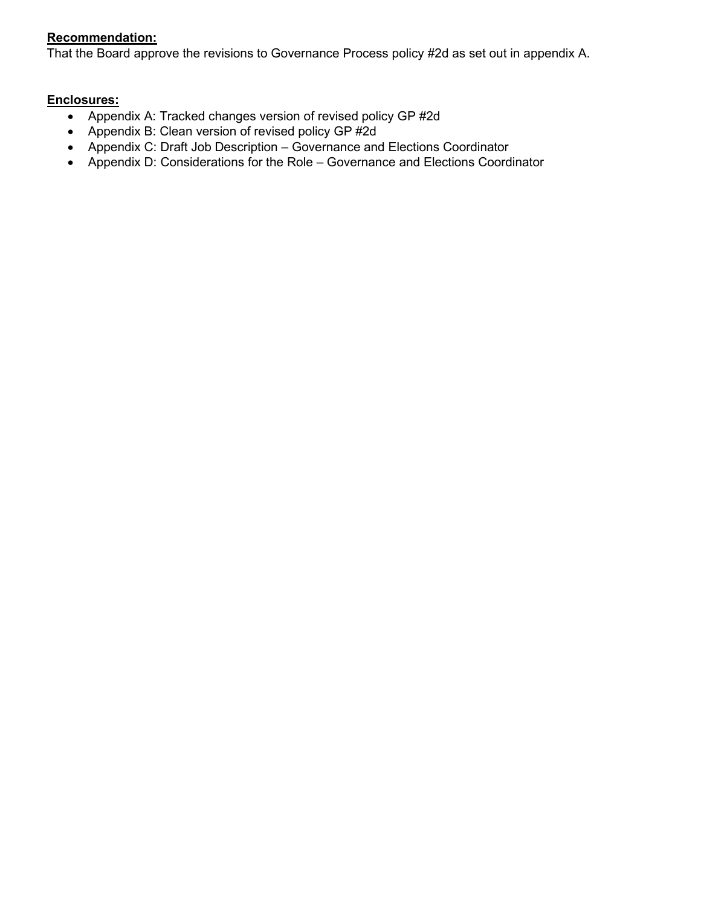# **Recommendation:**

That the Board approve the revisions to Governance Process policy #2d as set out in appendix A.

#### **Enclosures:**

- Appendix A: Tracked changes version of revised policy GP #2d
- Appendix B: Clean version of revised policy GP #2d
- Appendix C: Draft Job Description Governance and Elections Coordinator
- Appendix D: Considerations for the Role Governance and Elections Coordinator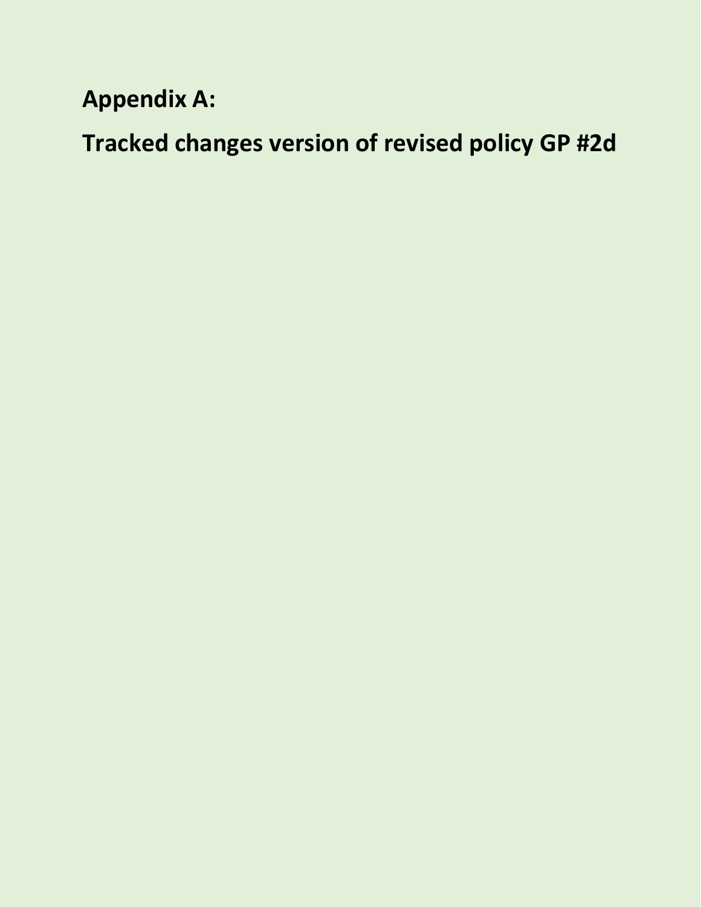# **Appendix A:**

**Tracked changes version of revised policy GP #2d**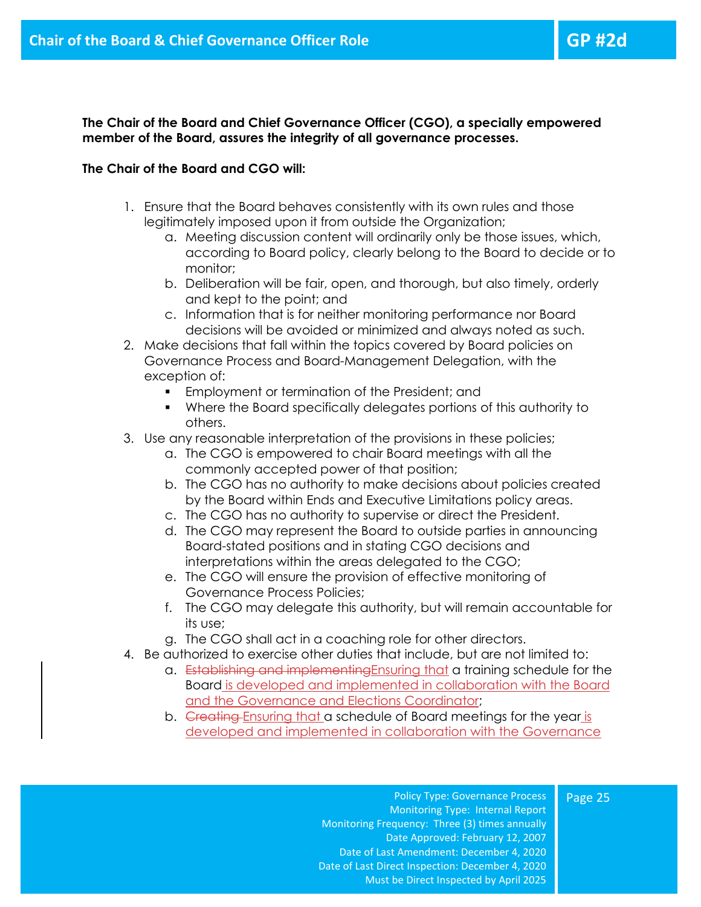**The Chair of the Board and Chief Governance Officer (CGO), a specially empowered member of the Board, assures the integrity of all governance processes.** 

#### **The Chair of the Board and CGO will:**

- 1. Ensure that the Board behaves consistently with its own rules and those legitimately imposed upon it from outside the Organization;
	- a. Meeting discussion content will ordinarily only be those issues, which, according to Board policy, clearly belong to the Board to decide or to monitor;
	- b. Deliberation will be fair, open, and thorough, but also timely, orderly and kept to the point; and
	- c. Information that is for neither monitoring performance nor Board decisions will be avoided or minimized and always noted as such.
- 2. Make decisions that fall within the topics covered by Board policies on Governance Process and Board-Management Delegation, with the exception of:
	- Employment or termination of the President; and
	- Where the Board specifically delegates portions of this authority to others.
- 3. Use any reasonable interpretation of the provisions in these policies;
	- a. The CGO is empowered to chair Board meetings with all the commonly accepted power of that position;
	- b. The CGO has no authority to make decisions about policies created by the Board within Ends and Executive Limitations policy areas.
	- c. The CGO has no authority to supervise or direct the President.
	- d. The CGO may represent the Board to outside parties in announcing Board-stated positions and in stating CGO decisions and interpretations within the areas delegated to the CGO;
	- e. The CGO will ensure the provision of effective monitoring of Governance Process Policies;
	- f. The CGO may delegate this authority, but will remain accountable for its use;
	- g. The CGO shall act in a coaching role for other directors.
- 4. Be authorized to exercise other duties that include, but are not limited to:
	- a. Establishing and implementingEnsuring that a training schedule for the Board is developed and implemented in collaboration with the Board and the Governance and Elections Coordinator;
	- b. Creating Ensuring that a schedule of Board meetings for the year is developed and implemented in collaboration with the Governance

Policy Type: Governance Process Monitoring Type: Internal Report Monitoring Frequency: Three (3) times annually Date Approved: February 12, 2007 Date of Last Amendment: December 4, 2020 Date of Last Direct Inspection: December 4, 2020 Must be Direct Inspected by April 2025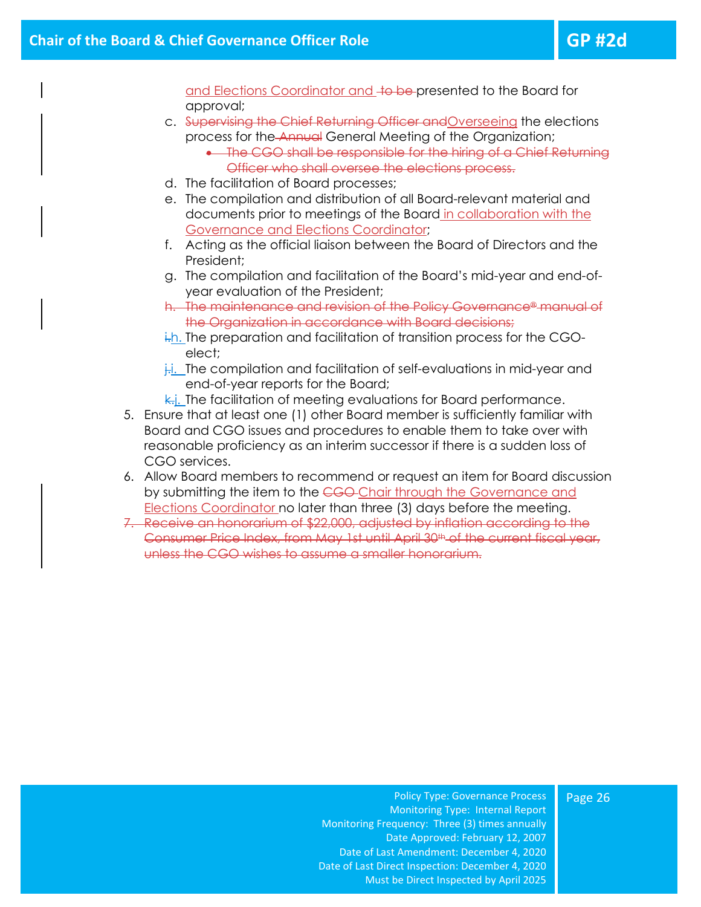and Elections Coordinator and to be presented to the Board for approval;

- c. Supervising the Chief Returning Officer andOverseeing the elections process for the Annual General Meeting of the Organization; • The CGO shall be responsible for the hiring of a Chief Returning
	- Officer who shall oversee the elections process.
- d. The facilitation of Board processes;
- e. The compilation and distribution of all Board-relevant material and documents prior to meetings of the Board in collaboration with the Governance and Elections Coordinator;
- f. Acting as the official liaison between the Board of Directors and the President;
- g. The compilation and facilitation of the Board's mid-year and end-ofyear evaluation of the President;
- h. The maintenance and revision of the Policy Governance® manual of the Organization in accordance with Board decisions;
- i.h. The preparation and facilitation of transition process for the CGOelect;
- $\frac{1}{k}$ . The compilation and facilitation of self-evaluations in mid-year and end-of-year reports for the Board;
- $\overline{k}$ . The facilitation of meeting evaluations for Board performance.
- 5. Ensure that at least one (1) other Board member is sufficiently familiar with Board and CGO issues and procedures to enable them to take over with reasonable proficiency as an interim successor if there is a sudden loss of CGO services.
- 6. Allow Board members to recommend or request an item for Board discussion by submitting the item to the CGO Chair through the Governance and Elections Coordinator no later than three (3) days before the meeting.
- 7. Receive an honorarium of \$22,000, adjusted by inflation according to the Consumer Price Index, from May 1st until April 30th of the current fiscal year, unless the CGO wishes to assume a smaller honorarium.

#### Page 26

Policy Type: Governance Process Monitoring Type: Internal Report Monitoring Frequency: Three (3) times annually Date Approved: February 12, 2007 Date of Last Amendment: December 4, 2020 Date of Last Direct Inspection: December 4, 2020 Must be Direct Inspected by April 2025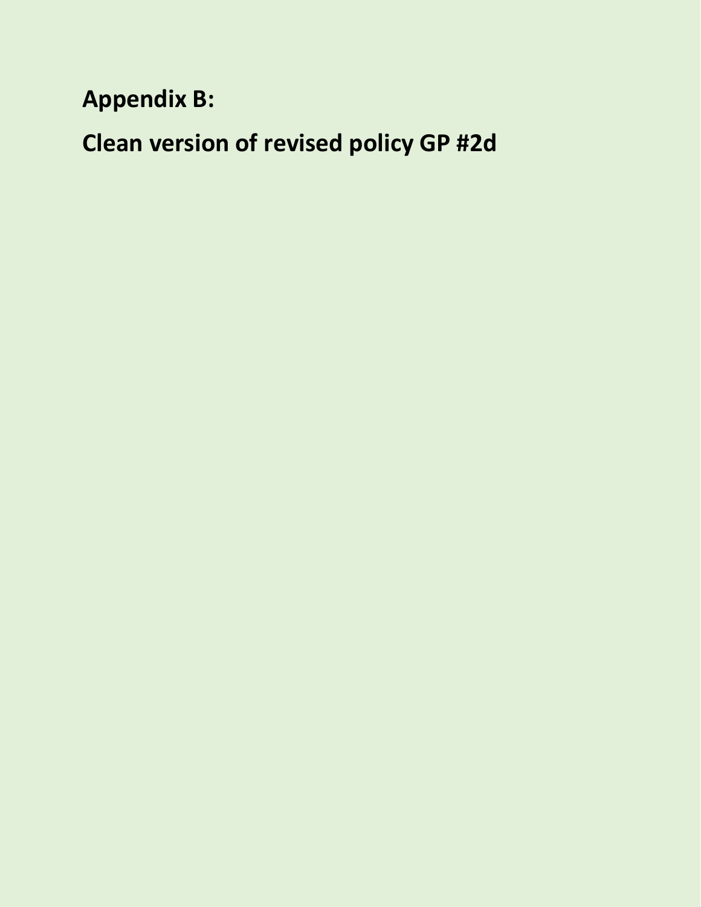**Appendix B:**

**Clean version of revised policy GP #2d**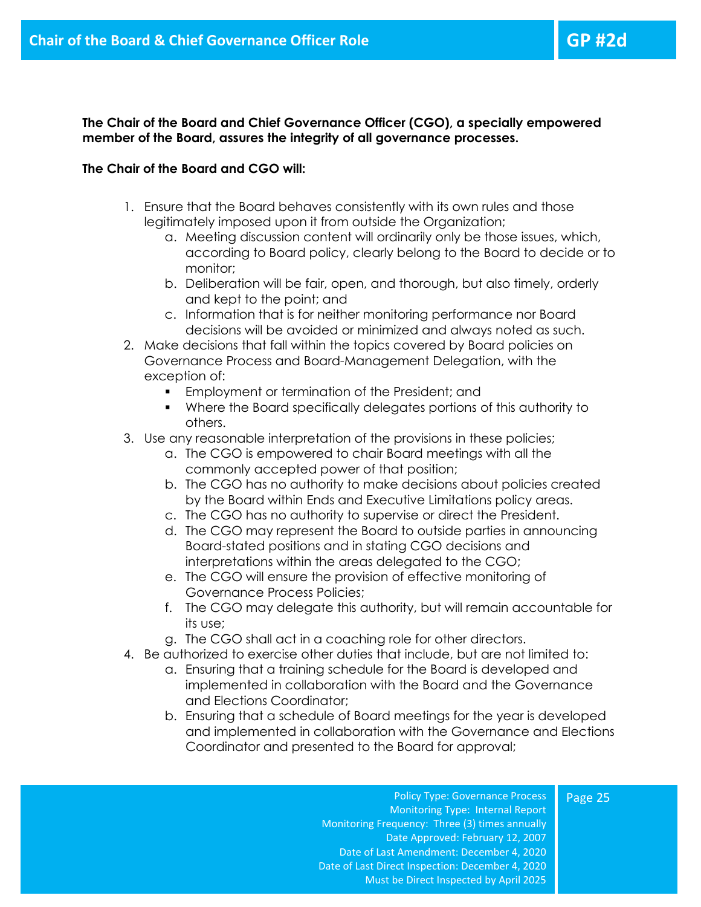Page 25

**The Chair of the Board and Chief Governance Officer (CGO), a specially empowered member of the Board, assures the integrity of all governance processes.** 

#### **The Chair of the Board and CGO will:**

- 1. Ensure that the Board behaves consistently with its own rules and those legitimately imposed upon it from outside the Organization;
	- a. Meeting discussion content will ordinarily only be those issues, which, according to Board policy, clearly belong to the Board to decide or to monitor;
	- b. Deliberation will be fair, open, and thorough, but also timely, orderly and kept to the point; and
	- c. Information that is for neither monitoring performance nor Board decisions will be avoided or minimized and always noted as such.
- 2. Make decisions that fall within the topics covered by Board policies on Governance Process and Board-Management Delegation, with the exception of:
	- Employment or termination of the President; and
	- Where the Board specifically delegates portions of this authority to others.
- 3. Use any reasonable interpretation of the provisions in these policies;
	- a. The CGO is empowered to chair Board meetings with all the commonly accepted power of that position;
	- b. The CGO has no authority to make decisions about policies created by the Board within Ends and Executive Limitations policy areas.
	- c. The CGO has no authority to supervise or direct the President.
	- d. The CGO may represent the Board to outside parties in announcing Board-stated positions and in stating CGO decisions and interpretations within the areas delegated to the CGO;
	- e. The CGO will ensure the provision of effective monitoring of Governance Process Policies;
	- f. The CGO may delegate this authority, but will remain accountable for its use;
	- g. The CGO shall act in a coaching role for other directors.
- 4. Be authorized to exercise other duties that include, but are not limited to:
	- a. Ensuring that a training schedule for the Board is developed and implemented in collaboration with the Board and the Governance and Elections Coordinator;
	- b. Ensuring that a schedule of Board meetings for the year is developed and implemented in collaboration with the Governance and Elections Coordinator and presented to the Board for approval;

Policy Type: Governance Process Monitoring Type: Internal Report Monitoring Frequency: Three (3) times annually Date Approved: February 12, 2007 Date of Last Amendment: December 4, 2020 Date of Last Direct Inspection: December 4, 2020 Must be Direct Inspected by April 2025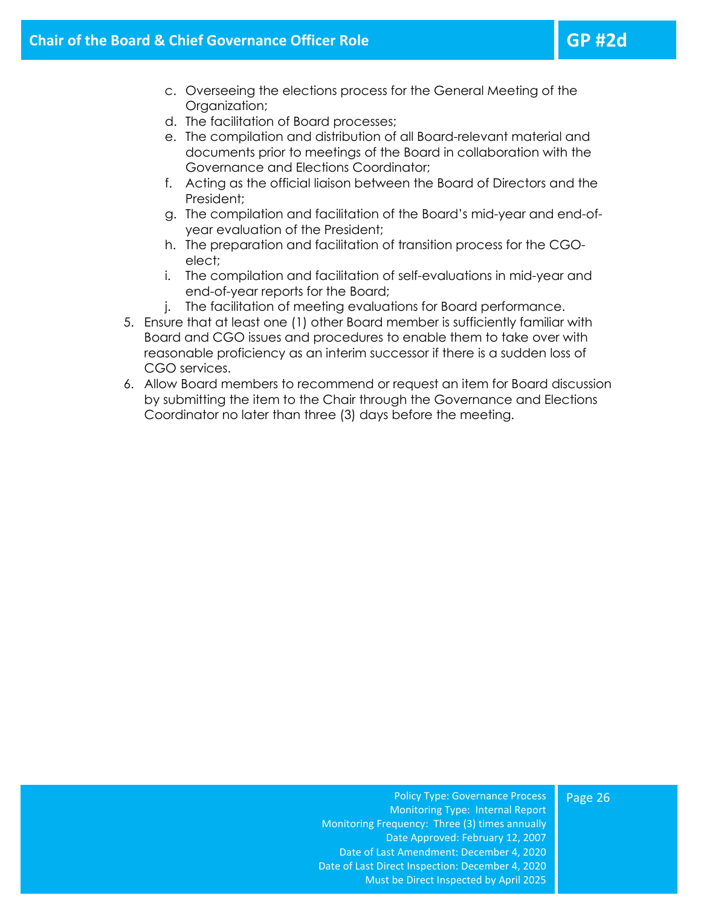- c. Overseeing the elections process for the General Meeting of the Organization;
- d. The facilitation of Board processes;
- e. The compilation and distribution of all Board-relevant material and documents prior to meetings of the Board in collaboration with the Governance and Elections Coordinator;
- f. Acting as the official liaison between the Board of Directors and the President;
- g. The compilation and facilitation of the Board's mid-year and end-ofyear evaluation of the President;
- h. The preparation and facilitation of transition process for the CGOelect;
- i. The compilation and facilitation of self-evaluations in mid-year and end-of-year reports for the Board;
- j. The facilitation of meeting evaluations for Board performance.
- 5. Ensure that at least one (1) other Board member is sufficiently familiar with Board and CGO issues and procedures to enable them to take over with reasonable proficiency as an interim successor if there is a sudden loss of CGO services.
- 6. Allow Board members to recommend or request an item for Board discussion by submitting the item to the Chair through the Governance and Elections Coordinator no later than three (3) days before the meeting.

Page 26

Policy Type: Governance Process Monitoring Type: Internal Report Monitoring Frequency: Three (3) times annually Date Approved: February 12, 2007 Date of Last Amendment: December 4, 2020 Date of Last Direct Inspection: December 4, 2020 Must be Direct Inspected by April 2025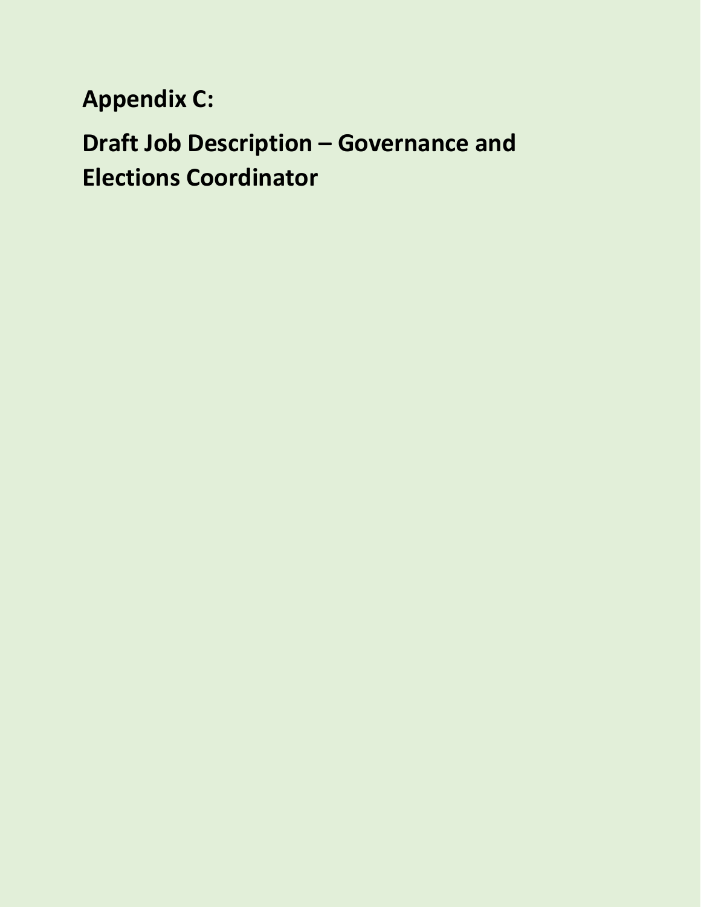**Appendix C:**

**Draft Job Description – Governance and Elections Coordinator**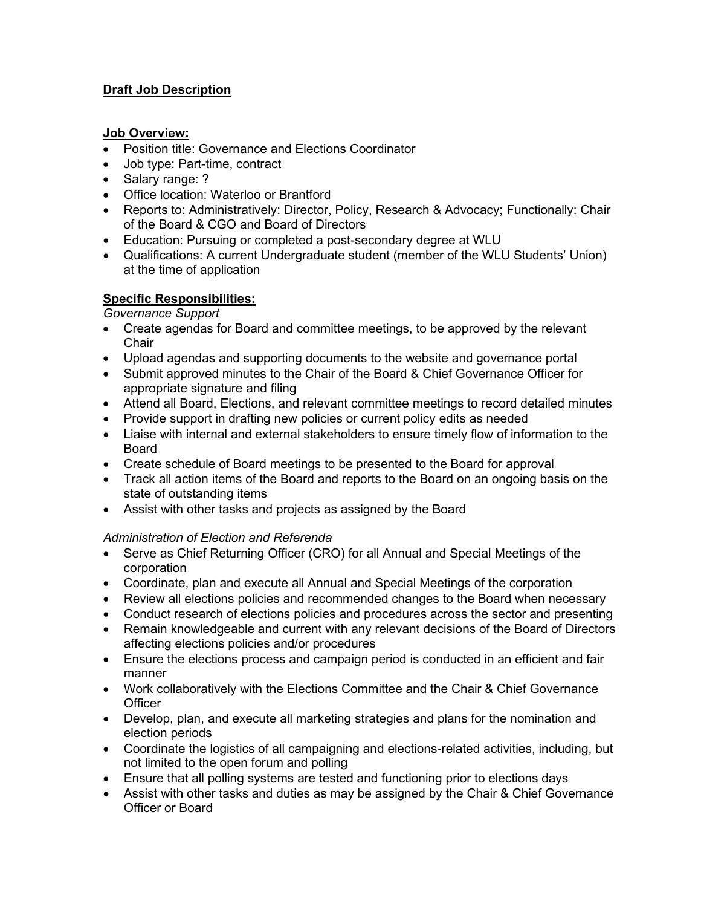# **Draft Job Description**

### **Job Overview:**

- Position title: Governance and Elections Coordinator
- Job type: Part-time, contract
- Salary range: ?
- Office location: Waterloo or Brantford
- Reports to: Administratively: Director, Policy, Research & Advocacy; Functionally: Chair of the Board & CGO and Board of Directors
- Education: Pursuing or completed a post-secondary degree at WLU
- Qualifications: A current Undergraduate student (member of the WLU Students' Union) at the time of application

# **Specific Responsibilities:**

# *Governance Support*

- Create agendas for Board and committee meetings, to be approved by the relevant **Chair**
- Upload agendas and supporting documents to the website and governance portal
- Submit approved minutes to the Chair of the Board & Chief Governance Officer for appropriate signature and filing
- Attend all Board, Elections, and relevant committee meetings to record detailed minutes
- Provide support in drafting new policies or current policy edits as needed
- Liaise with internal and external stakeholders to ensure timely flow of information to the Board
- Create schedule of Board meetings to be presented to the Board for approval
- Track all action items of the Board and reports to the Board on an ongoing basis on the state of outstanding items
- Assist with other tasks and projects as assigned by the Board

# *Administration of Election and Referenda*

- Serve as Chief Returning Officer (CRO) for all Annual and Special Meetings of the corporation
- Coordinate, plan and execute all Annual and Special Meetings of the corporation
- Review all elections policies and recommended changes to the Board when necessary
- Conduct research of elections policies and procedures across the sector and presenting
- Remain knowledgeable and current with any relevant decisions of the Board of Directors affecting elections policies and/or procedures
- Ensure the elections process and campaign period is conducted in an efficient and fair manner
- Work collaboratively with the Elections Committee and the Chair & Chief Governance **Officer**
- Develop, plan, and execute all marketing strategies and plans for the nomination and election periods
- Coordinate the logistics of all campaigning and elections-related activities, including, but not limited to the open forum and polling
- Ensure that all polling systems are tested and functioning prior to elections days
- Assist with other tasks and duties as may be assigned by the Chair & Chief Governance Officer or Board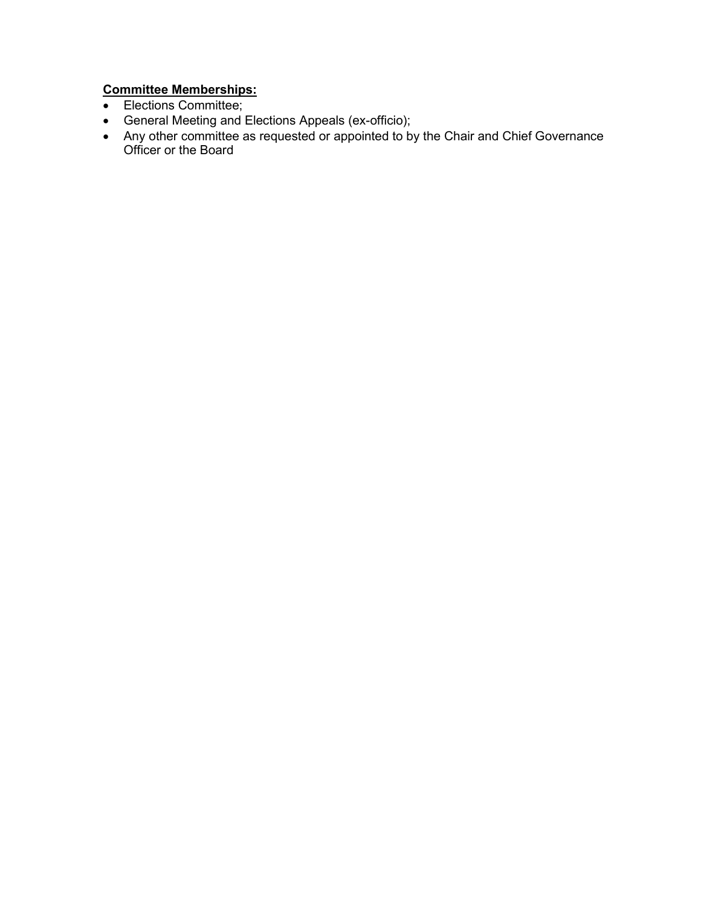# **Committee Memberships:**

- Elections Committee;
- General Meeting and Elections Appeals (ex-officio);
- Any other committee as requested or appointed to by the Chair and Chief Governance Officer or the Board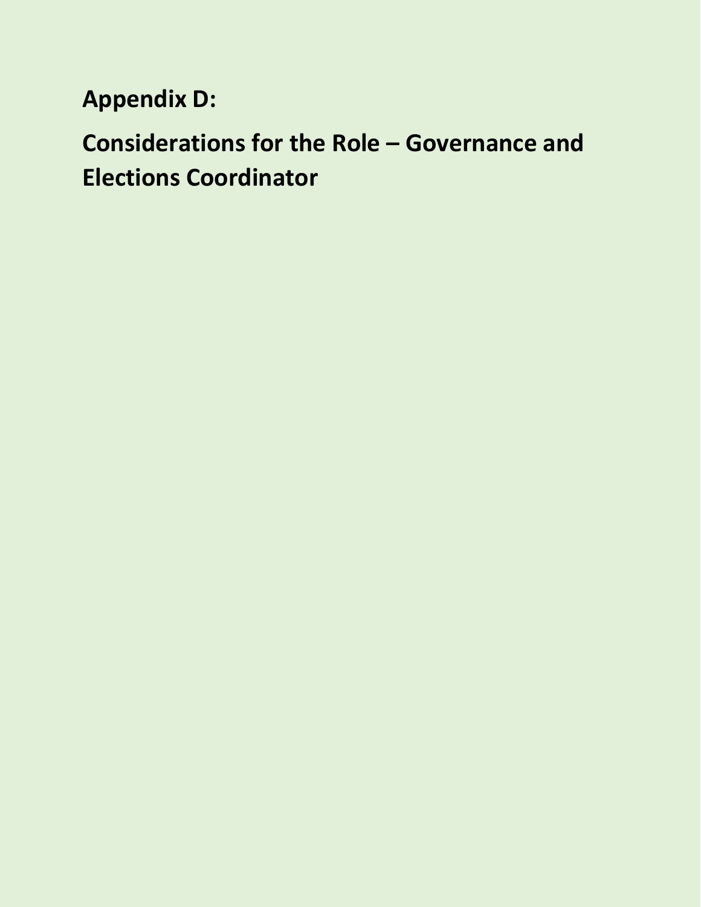**Appendix D:**

**Considerations for the Role – Governance and Elections Coordinator**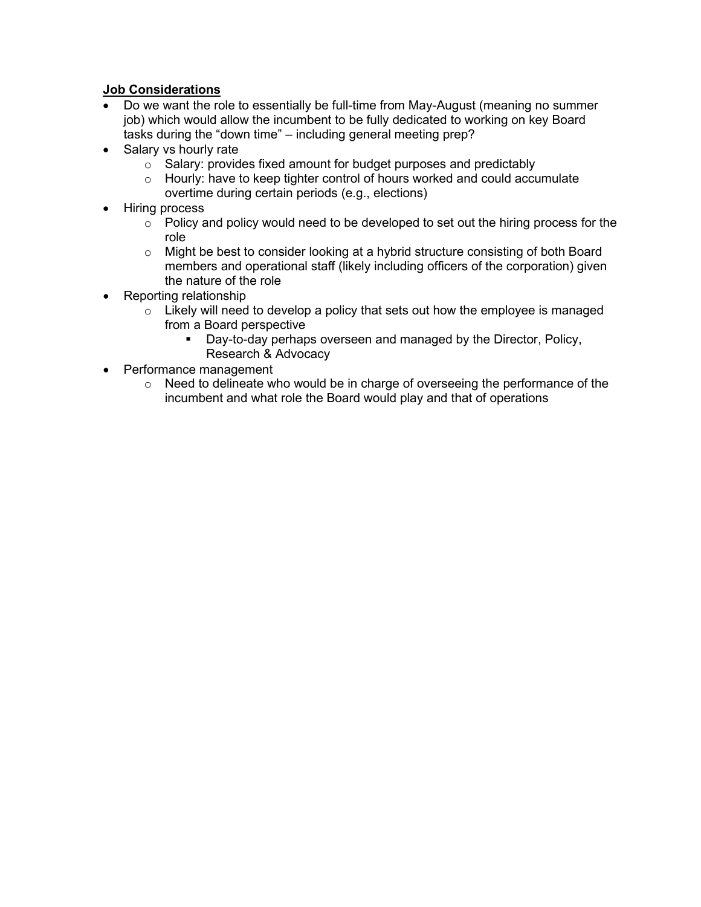## **Job Considerations**

- Do we want the role to essentially be full-time from May-August (meaning no summer job) which would allow the incumbent to be fully dedicated to working on key Board tasks during the "down time" – including general meeting prep?
- Salary vs hourly rate
	- $\circ$  Salary: provides fixed amount for budget purposes and predictably
	- $\circ$  Hourly: have to keep tighter control of hours worked and could accumulate overtime during certain periods (e.g., elections)
- Hiring process
	- $\circ$  Policy and policy would need to be developed to set out the hiring process for the role
	- o Might be best to consider looking at a hybrid structure consisting of both Board members and operational staff (likely including officers of the corporation) given the nature of the role
- Reporting relationship
	- $\circ$  Likely will need to develop a policy that sets out how the employee is managed from a Board perspective
		- **Day-to-day perhaps overseen and managed by the Director, Policy,** Research & Advocacy
- Performance management
	- $\circ$  Need to delineate who would be in charge of overseeing the performance of the incumbent and what role the Board would play and that of operations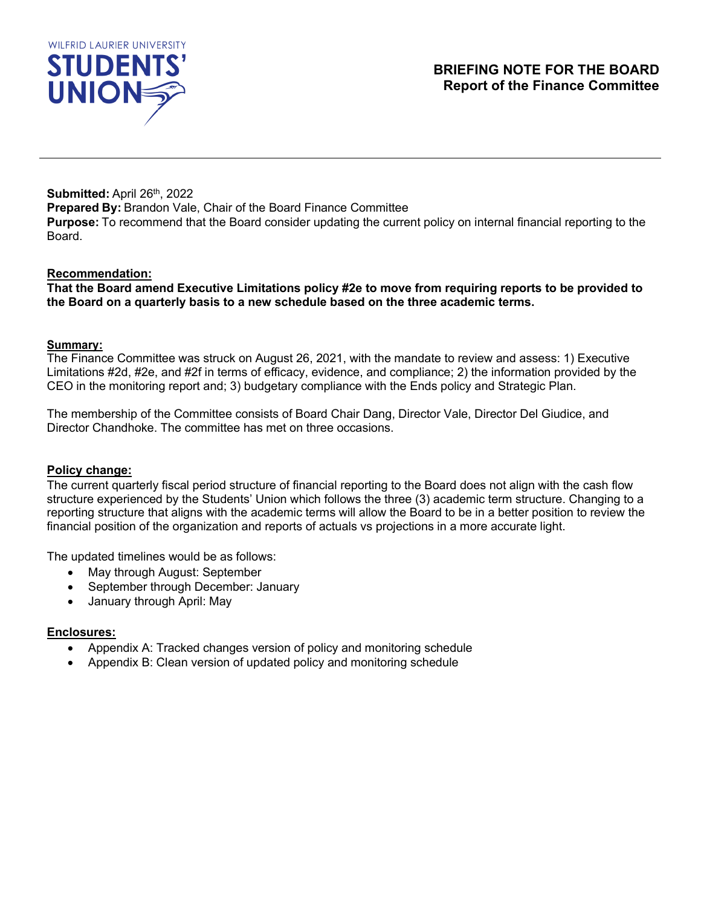<span id="page-15-0"></span>

**Submitted: April 26th, 2022 Prepared By:** Brandon Vale, Chair of the Board Finance Committee **Purpose:** To recommend that the Board consider updating the current policy on internal financial reporting to the Board.

#### **Recommendation:**

**That the Board amend Executive Limitations policy #2e to move from requiring reports to be provided to the Board on a quarterly basis to a new schedule based on the three academic terms.**

#### **Summary:**

The Finance Committee was struck on August 26, 2021, with the mandate to review and assess: 1) Executive Limitations #2d, #2e, and #2f in terms of efficacy, evidence, and compliance; 2) the information provided by the CEO in the monitoring report and; 3) budgetary compliance with the Ends policy and Strategic Plan.

The membership of the Committee consists of Board Chair Dang, Director Vale, Director Del Giudice, and Director Chandhoke. The committee has met on three occasions.

#### **Policy change:**

The current quarterly fiscal period structure of financial reporting to the Board does not align with the cash flow structure experienced by the Students' Union which follows the three (3) academic term structure. Changing to a reporting structure that aligns with the academic terms will allow the Board to be in a better position to review the financial position of the organization and reports of actuals vs projections in a more accurate light.

The updated timelines would be as follows:

- May through August: September
- September through December: January
- January through April: May

#### **Enclosures:**

- Appendix A: Tracked changes version of policy and monitoring schedule
- Appendix B: Clean version of updated policy and monitoring schedule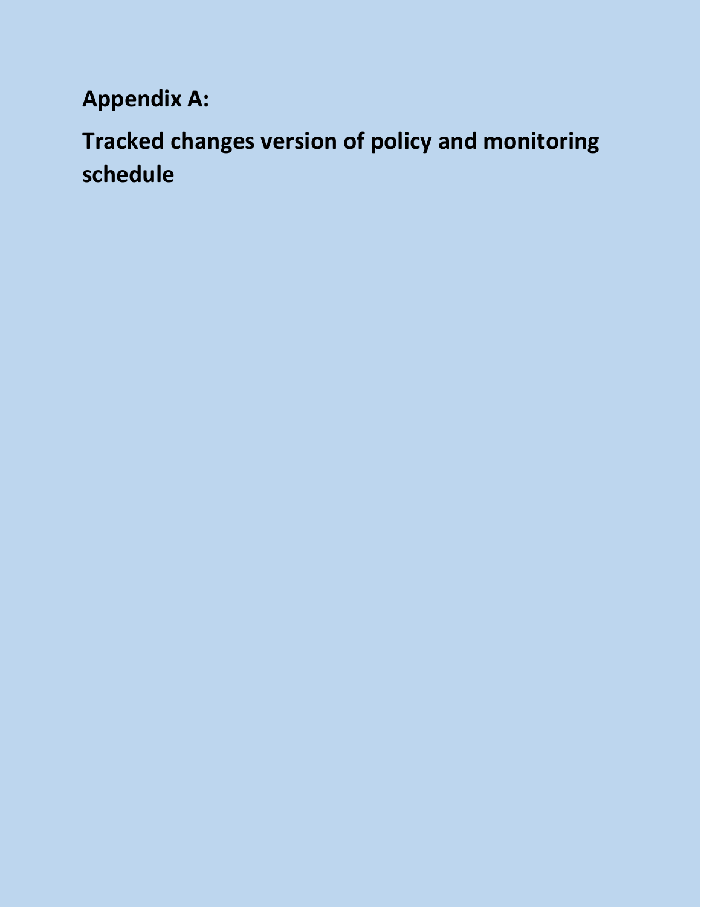# **Appendix A:**

# **Tracked changes version of policy and monitoring schedule**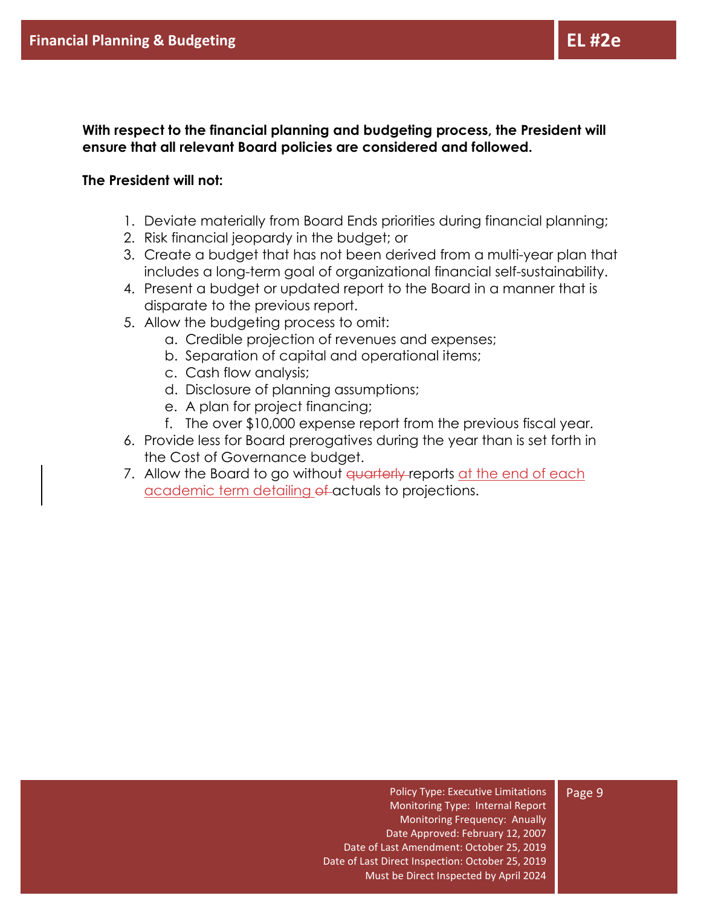**With respect to the financial planning and budgeting process, the President will ensure that all relevant Board policies are considered and followed.**

## **The President will not:**

- 1. Deviate materially from Board Ends priorities during financial planning;
- 2. Risk financial jeopardy in the budget; or
- 3. Create a budget that has not been derived from a multi-year plan that includes a long-term goal of organizational financial self-sustainability.
- 4. Present a budget or updated report to the Board in a manner that is disparate to the previous report.
- 5. Allow the budgeting process to omit:
	- a. Credible projection of revenues and expenses;
	- b. Separation of capital and operational items;
	- c. Cash flow analysis;
	- d. Disclosure of planning assumptions;
	- e. A plan for project financing;
	- f. The over \$10,000 expense report from the previous fiscal year.
- 6. Provide less for Board prerogatives during the year than is set forth in the Cost of Governance budget.
- 7. Allow the Board to go without <del>quarterly r</del>eports at the end of each academic term detailing of actuals to projections.

Policy Type: Executive Limitations Monitoring Type: Internal Report Monitoring Frequency: Anually Date Approved: February 12, 2007 Date of Last Amendment: October 25, 2019 Date of Last Direct Inspection: October 25, 2019 Must be Direct Inspected by April 2024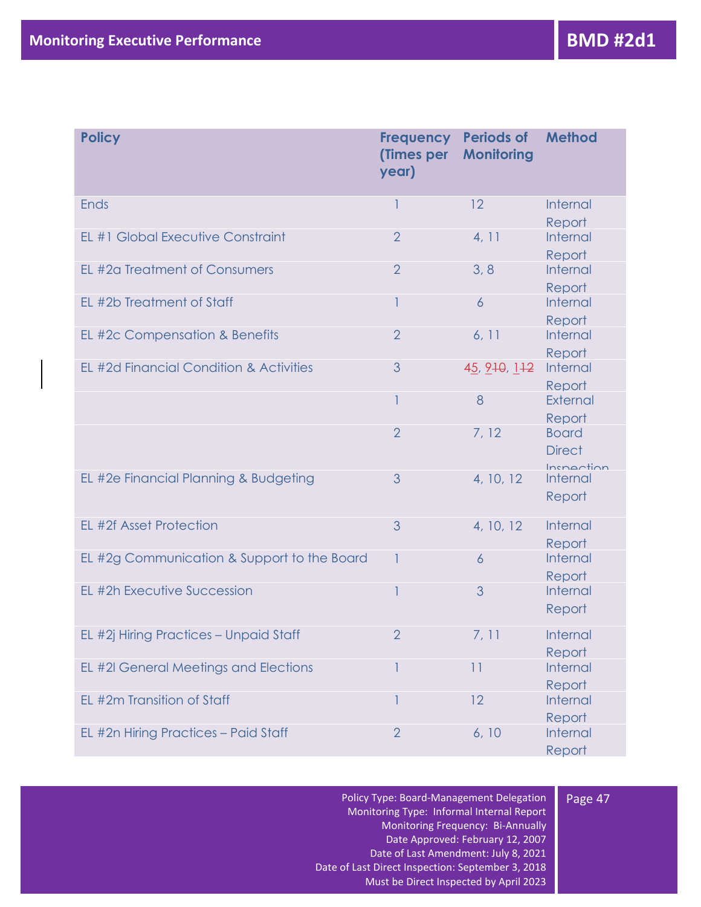| <b>Policy</b>                               | <b>Frequency</b><br>(Times per<br>year) | <b>Periods of</b><br><b>Monitoring</b> | <b>Method</b>                               |
|---------------------------------------------|-----------------------------------------|----------------------------------------|---------------------------------------------|
| Ends                                        |                                         | 12                                     | Internal                                    |
| EL #1 Global Executive Constraint           | $\overline{2}$                          | 4, 11                                  | Report<br>Internal<br>Report                |
| EL #2a Treatment of Consumers               | $\overline{2}$                          | 3, 8                                   | Internal<br>Report                          |
| EL #2b Treatment of Staff                   |                                         | $\overline{6}$                         | Internal<br>Report                          |
| EL #2c Compensation & Benefits              | $\overline{2}$                          | 6, 11                                  | Internal<br>Report                          |
| EL #2d Financial Condition & Activities     | 3                                       | 45, 210, 112                           | Internal<br>Report                          |
|                                             |                                         | 8                                      | External<br>Report                          |
|                                             | $\overline{2}$                          | 7, 12                                  | <b>Board</b><br><b>Direct</b><br>Inchection |
| EL #2e Financial Planning & Budgeting       | 3                                       | 4, 10, 12                              | Internal<br>Report                          |
| EL #2f Asset Protection                     | 3                                       | 4, 10, 12                              | Internal<br>Report                          |
| EL #2g Communication & Support to the Board |                                         | $\overline{6}$                         | Internal<br>Report                          |
| EL #2h Executive Succession                 |                                         | 3                                      | Internal<br>Report                          |
| EL #2j Hiring Practices - Unpaid Staff      | $\overline{2}$                          | 7, 11                                  | Internal<br>Report                          |
| EL #2I General Meetings and Elections       |                                         | 11                                     | Internal<br>Report                          |
| EL #2m Transition of Staff                  |                                         | 12                                     | Internal                                    |
| EL #2n Hiring Practices - Paid Staff        | $\overline{2}$                          | 6, 10                                  | Report<br>Internal<br>Report                |

Policy Type: Board-Management Delegation Monitoring Type: Informal Internal Report Monitoring Frequency: Bi-Annually Date Approved: February 12, 2007 Date of Last Amendment: July 8, 2021 Date of Last Direct Inspection: September 3, 2018 Must be Direct Inspected by April 2023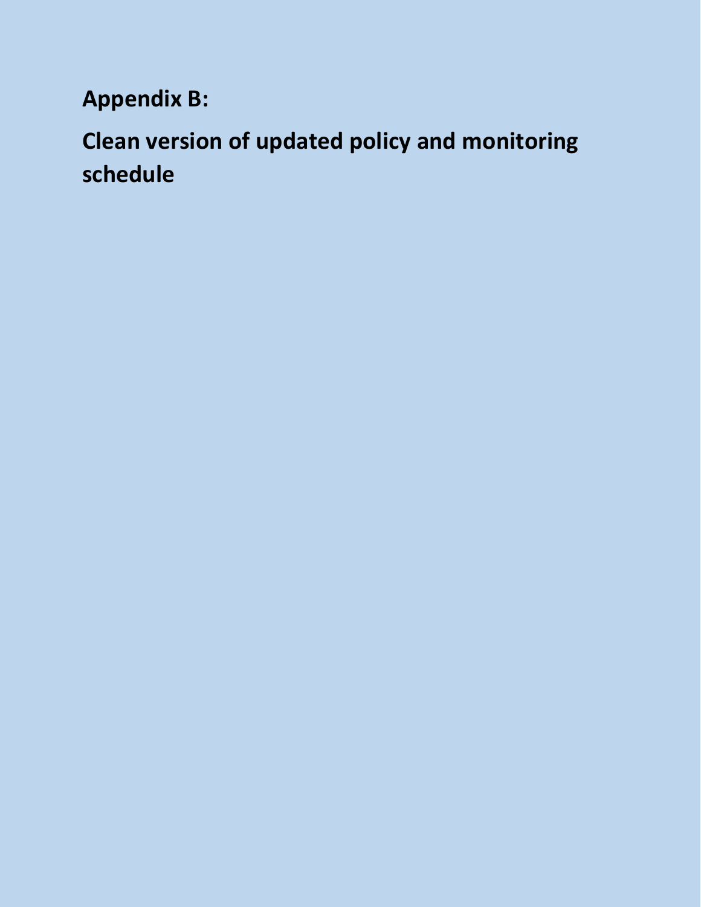**Appendix B:** 

**Clean version of updated policy and monitoring schedule**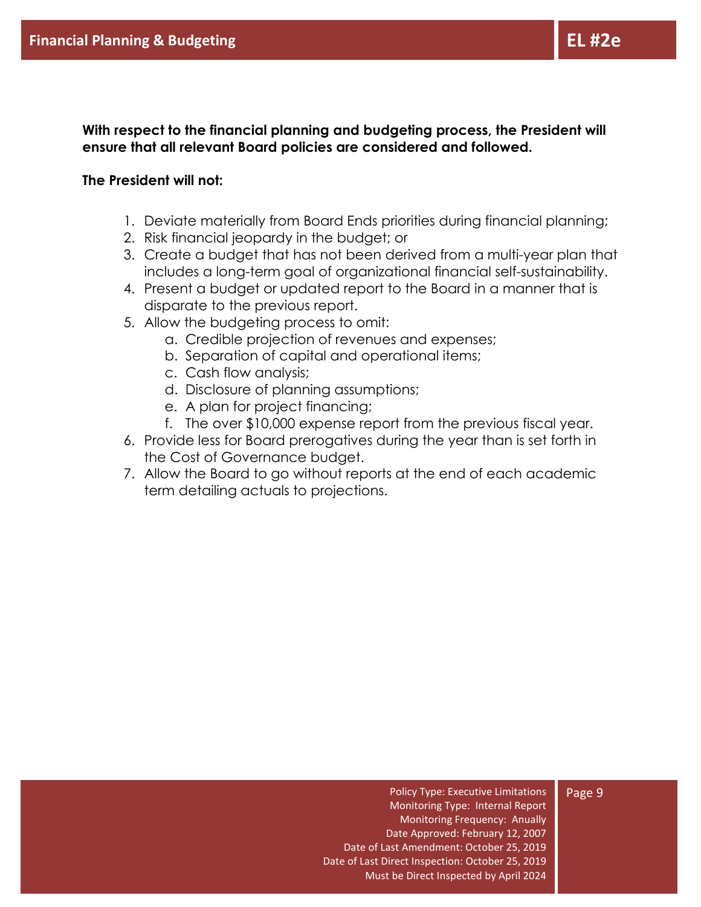**With respect to the financial planning and budgeting process, the President will ensure that all relevant Board policies are considered and followed.**

## **The President will not:**

- 1. Deviate materially from Board Ends priorities during financial planning;
- 2. Risk financial jeopardy in the budget; or
- 3. Create a budget that has not been derived from a multi-year plan that includes a long-term goal of organizational financial self-sustainability.
- 4. Present a budget or updated report to the Board in a manner that is disparate to the previous report.
- 5. Allow the budgeting process to omit:
	- a. Credible projection of revenues and expenses;
	- b. Separation of capital and operational items;
	- c. Cash flow analysis;
	- d. Disclosure of planning assumptions;
	- e. A plan for project financing;
	- f. The over \$10,000 expense report from the previous fiscal year.
- 6. Provide less for Board prerogatives during the year than is set forth in the Cost of Governance budget.
- 7. Allow the Board to go without reports at the end of each academic term detailing actuals to projections.

Policy Type: Executive Limitations Monitoring Type: Internal Report Monitoring Frequency: Anually Date Approved: February 12, 2007 Date of Last Amendment: October 25, 2019 Date of Last Direct Inspection: October 25, 2019 Must be Direct Inspected by April 2024